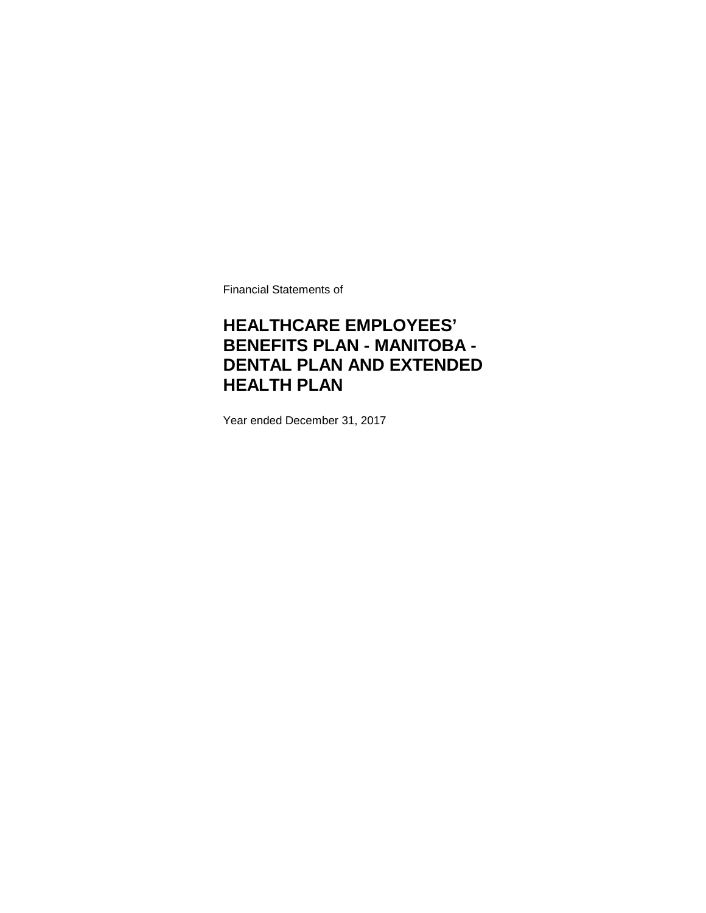Financial Statements of

### **HEALTHCARE EMPLOYEES' BENEFITS PLAN - MANITOBA - DENTAL PLAN AND EXTENDED HEALTH PLAN**

Year ended December 31, 2017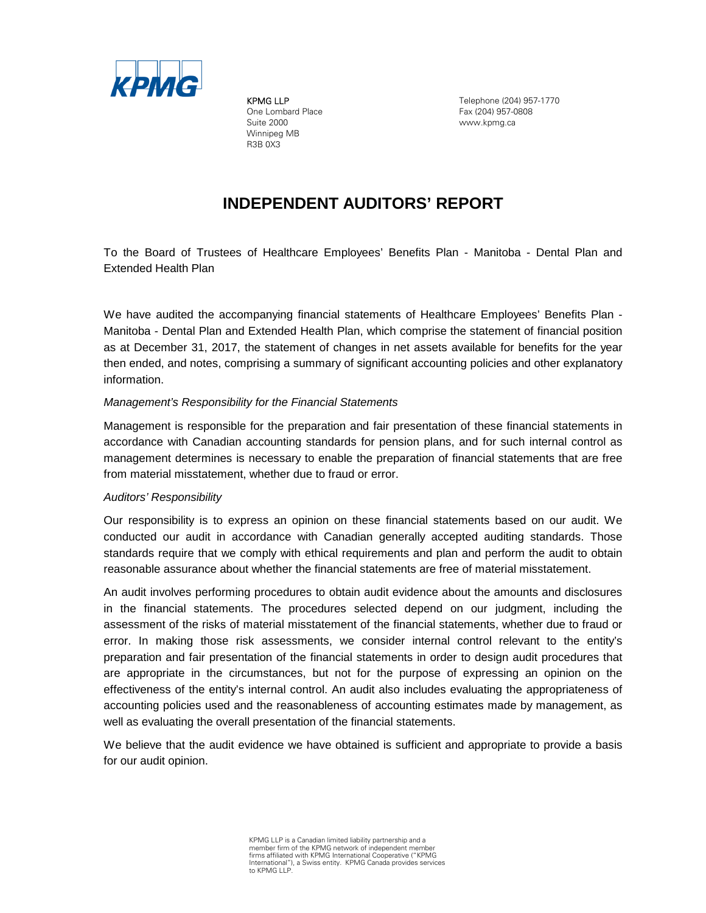

KPMG LLP One Lombard Place Suite 2000 Winnipeg MB R3B 0X3

Telephone (204) 957-1770 Fax (204) 957-0808 www.kpmg.ca

### **INDEPENDENT AUDITORS' REPORT**

To the Board of Trustees of Healthcare Employees' Benefits Plan - Manitoba - Dental Plan and Extended Health Plan

We have audited the accompanying financial statements of Healthcare Employees' Benefits Plan - Manitoba - Dental Plan and Extended Health Plan, which comprise the statement of financial position as at December 31, 2017, the statement of changes in net assets available for benefits for the year then ended, and notes, comprising a summary of significant accounting policies and other explanatory information.

### *Management's Responsibility for the Financial Statements*

Management is responsible for the preparation and fair presentation of these financial statements in accordance with Canadian accounting standards for pension plans, and for such internal control as management determines is necessary to enable the preparation of financial statements that are free from material misstatement, whether due to fraud or error.

#### *Auditors' Responsibility*

Our responsibility is to express an opinion on these financial statements based on our audit. We conducted our audit in accordance with Canadian generally accepted auditing standards. Those standards require that we comply with ethical requirements and plan and perform the audit to obtain reasonable assurance about whether the financial statements are free of material misstatement.

An audit involves performing procedures to obtain audit evidence about the amounts and disclosures in the financial statements. The procedures selected depend on our judgment, including the assessment of the risks of material misstatement of the financial statements, whether due to fraud or error. In making those risk assessments, we consider internal control relevant to the entity's preparation and fair presentation of the financial statements in order to design audit procedures that are appropriate in the circumstances, but not for the purpose of expressing an opinion on the effectiveness of the entity's internal control. An audit also includes evaluating the appropriateness of accounting policies used and the reasonableness of accounting estimates made by management, as well as evaluating the overall presentation of the financial statements.

We believe that the audit evidence we have obtained is sufficient and appropriate to provide a basis for our audit opinion.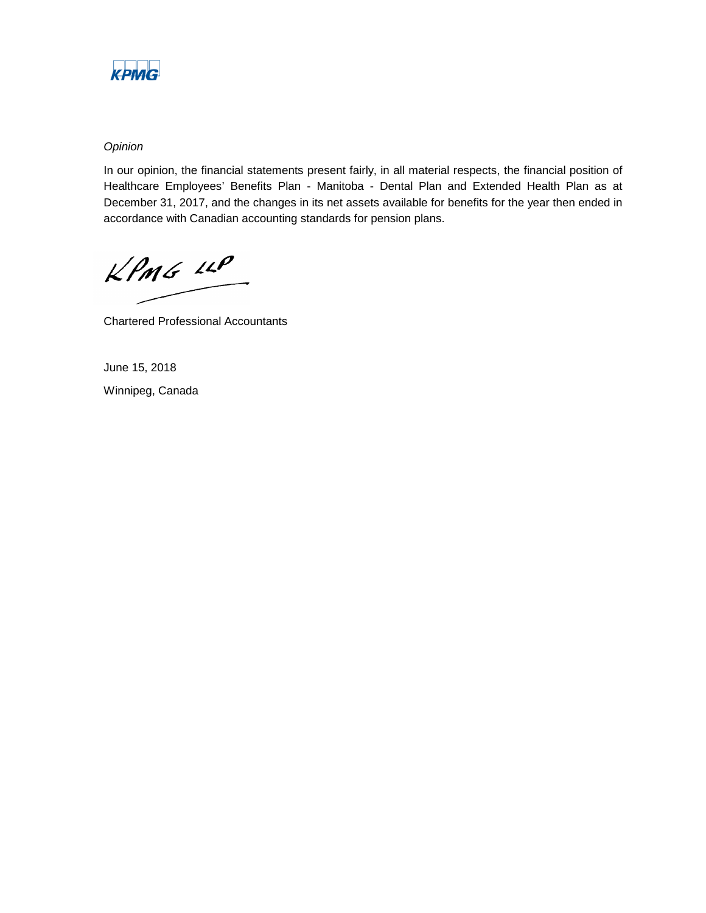

### *Opinion*

In our opinion, the financial statements present fairly, in all material respects, the financial position of Healthcare Employees' Benefits Plan - Manitoba - Dental Plan and Extended Health Plan as at December 31, 2017, and the changes in its net assets available for benefits for the year then ended in accordance with Canadian accounting standards for pension plans.

 $KPMG$  14P

Chartered Professional Accountants

June 15, 2018 Winnipeg, Canada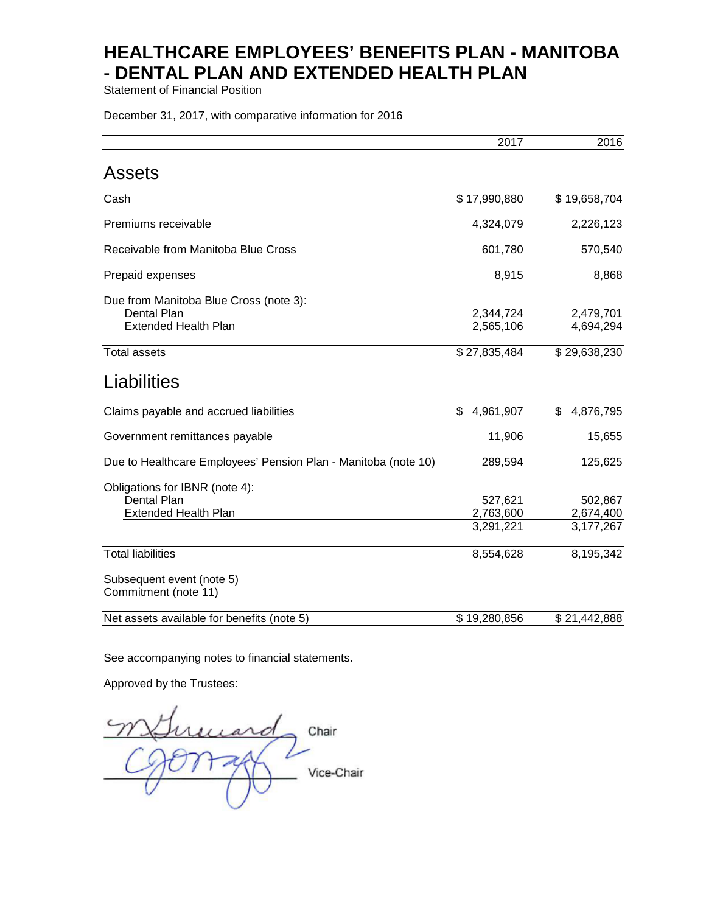Statement of Financial Position

December 31, 2017, with comparative information for 2016

|                                                                                                                    | 2017                              | 2016                              |
|--------------------------------------------------------------------------------------------------------------------|-----------------------------------|-----------------------------------|
| Assets                                                                                                             |                                   |                                   |
| Cash                                                                                                               | \$17,990,880                      | \$19,658,704                      |
| Premiums receivable                                                                                                | 4,324,079                         | 2,226,123                         |
| Receivable from Manitoba Blue Cross                                                                                | 601,780                           | 570,540                           |
| Prepaid expenses                                                                                                   | 8,915                             | 8,868                             |
| Due from Manitoba Blue Cross (note 3):<br><b>Dental Plan</b><br><b>Extended Health Plan</b><br><b>Total assets</b> | 2,344,724<br>2,565,106            | 2,479,701<br>4,694,294            |
|                                                                                                                    | \$27,835,484                      | \$29,638,230                      |
| Liabilities                                                                                                        |                                   |                                   |
| Claims payable and accrued liabilities                                                                             | 4,961,907<br>\$                   | 4,876,795<br>\$                   |
| Government remittances payable                                                                                     | 11,906                            | 15,655                            |
| Due to Healthcare Employees' Pension Plan - Manitoba (note 10)                                                     | 289,594                           | 125,625                           |
| Obligations for IBNR (note 4):<br><b>Dental Plan</b><br><b>Extended Health Plan</b>                                | 527,621<br>2,763,600<br>3,291,221 | 502,867<br>2,674,400<br>3,177,267 |
| <b>Total liabilities</b>                                                                                           | 8,554,628                         | 8,195,342                         |
| Subsequent event (note 5)<br>Commitment (note 11)                                                                  |                                   |                                   |
| Net assets available for benefits (note 5)                                                                         | \$19,280,856                      | \$21,442,888                      |

See accompanying notes to financial statements.

Approved by the Trustees:

ucard. Chair Vice-Chair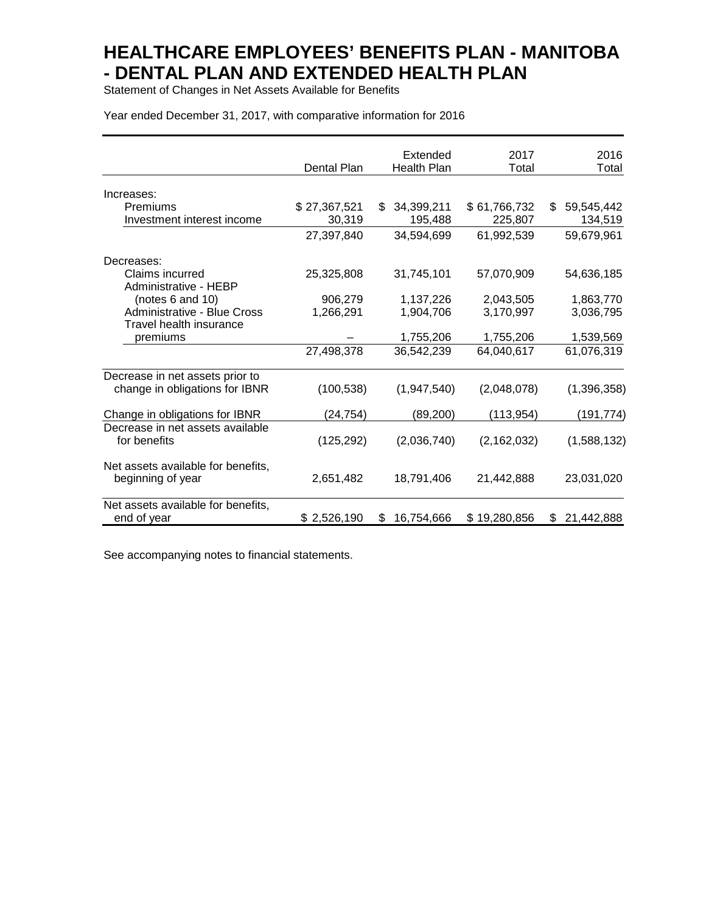Statement of Changes in Net Assets Available for Benefits

Year ended December 31, 2017, with comparative information for 2016

|                                                         | Dental Plan  | Extended<br><b>Health Plan</b> | 2017<br>Total | 2016<br>Total     |
|---------------------------------------------------------|--------------|--------------------------------|---------------|-------------------|
| Increases:                                              |              |                                |               |                   |
| Premiums                                                | \$27,367,521 | 34,399,211<br>\$.              | \$61,766,732  | 59,545,442<br>\$  |
| Investment interest income                              | 30,319       | 195,488                        | 225,807       | 134,519           |
|                                                         | 27,397,840   | 34,594,699                     | 61,992,539    | 59,679,961        |
| Decreases:                                              |              |                                |               |                   |
| Claims incurred<br>Administrative - HEBP                | 25,325,808   | 31,745,101                     | 57,070,909    | 54,636,185        |
| (notes 6 and 10)                                        | 906,279      | 1,137,226                      | 2,043,505     | 1,863,770         |
| Administrative - Blue Cross                             | 1,266,291    | 1,904,706                      | 3,170,997     | 3,036,795         |
| Travel health insurance                                 |              |                                |               |                   |
| premiums                                                |              | 1,755,206                      | 1,755,206     | 1,539,569         |
|                                                         | 27,498,378   | 36,542,239                     | 64,040,617    | 61,076,319        |
| Decrease in net assets prior to                         |              |                                |               |                   |
| change in obligations for IBNR                          | (100, 538)   | (1,947,540)                    | (2,048,078)   | (1,396,358)       |
| Change in obligations for IBNR                          | (24,754)     | (89,200)                       | (113,954)     | (191,774)         |
| Decrease in net assets available                        |              |                                |               |                   |
| for benefits                                            | (125, 292)   | (2,036,740)                    | (2, 162, 032) | (1,588,132)       |
| Net assets available for benefits,<br>beginning of year | 2,651,482    | 18,791,406                     | 21,442,888    | 23,031,020        |
| Net assets available for benefits,<br>end of year       | \$2,526,190  | 16,754,666<br>\$.              | \$19,280,856  | 21,442,888<br>\$. |

See accompanying notes to financial statements.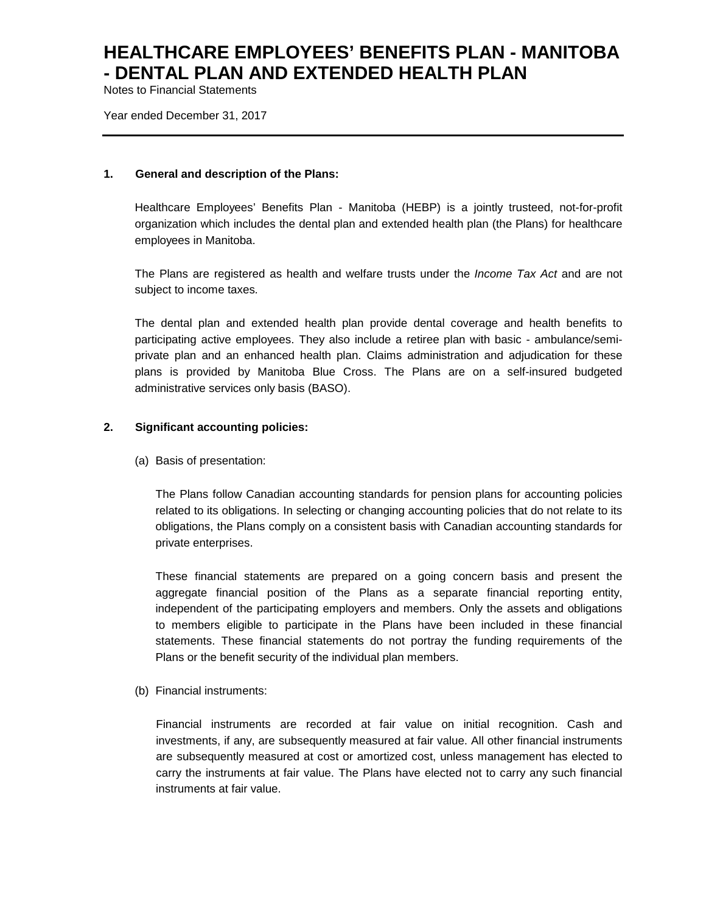Notes to Financial Statements

Year ended December 31, 2017

### **1. General and description of the Plans:**

Healthcare Employees' Benefits Plan - Manitoba (HEBP) is a jointly trusteed, not-for-profit organization which includes the dental plan and extended health plan (the Plans) for healthcare employees in Manitoba.

The Plans are registered as health and welfare trusts under the *Income Tax Act* and are not subject to income taxes*.*

The dental plan and extended health plan provide dental coverage and health benefits to participating active employees. They also include a retiree plan with basic - ambulance/semiprivate plan and an enhanced health plan. Claims administration and adjudication for these plans is provided by Manitoba Blue Cross. The Plans are on a self-insured budgeted administrative services only basis (BASO).

### **2. Significant accounting policies:**

(a) Basis of presentation:

The Plans follow Canadian accounting standards for pension plans for accounting policies related to its obligations. In selecting or changing accounting policies that do not relate to its obligations, the Plans comply on a consistent basis with Canadian accounting standards for private enterprises.

These financial statements are prepared on a going concern basis and present the aggregate financial position of the Plans as a separate financial reporting entity, independent of the participating employers and members. Only the assets and obligations to members eligible to participate in the Plans have been included in these financial statements. These financial statements do not portray the funding requirements of the Plans or the benefit security of the individual plan members.

(b) Financial instruments:

Financial instruments are recorded at fair value on initial recognition. Cash and investments, if any, are subsequently measured at fair value. All other financial instruments are subsequently measured at cost or amortized cost, unless management has elected to carry the instruments at fair value. The Plans have elected not to carry any such financial instruments at fair value.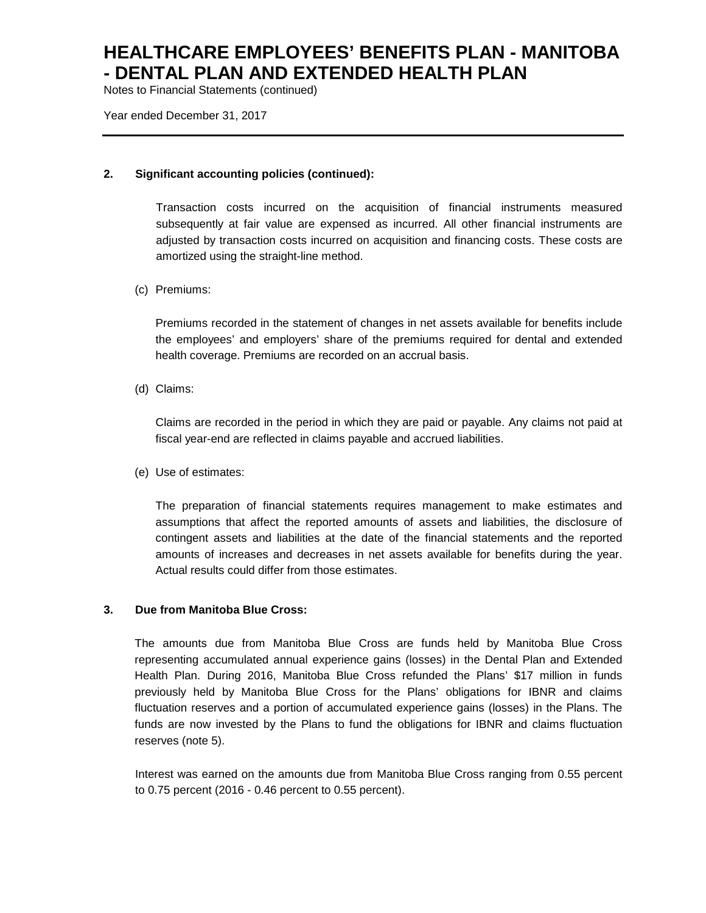Notes to Financial Statements (continued)

Year ended December 31, 2017

### **2. Significant accounting policies (continued):**

Transaction costs incurred on the acquisition of financial instruments measured subsequently at fair value are expensed as incurred. All other financial instruments are adjusted by transaction costs incurred on acquisition and financing costs. These costs are amortized using the straight-line method.

### (c) Premiums:

Premiums recorded in the statement of changes in net assets available for benefits include the employees' and employers' share of the premiums required for dental and extended health coverage. Premiums are recorded on an accrual basis.

(d) Claims:

Claims are recorded in the period in which they are paid or payable. Any claims not paid at fiscal year-end are reflected in claims payable and accrued liabilities.

(e) Use of estimates:

The preparation of financial statements requires management to make estimates and assumptions that affect the reported amounts of assets and liabilities, the disclosure of contingent assets and liabilities at the date of the financial statements and the reported amounts of increases and decreases in net assets available for benefits during the year. Actual results could differ from those estimates.

### **3. Due from Manitoba Blue Cross:**

The amounts due from Manitoba Blue Cross are funds held by Manitoba Blue Cross representing accumulated annual experience gains (losses) in the Dental Plan and Extended Health Plan. During 2016, Manitoba Blue Cross refunded the Plans' \$17 million in funds previously held by Manitoba Blue Cross for the Plans' obligations for IBNR and claims fluctuation reserves and a portion of accumulated experience gains (losses) in the Plans. The funds are now invested by the Plans to fund the obligations for IBNR and claims fluctuation reserves (note 5).

Interest was earned on the amounts due from Manitoba Blue Cross ranging from 0.55 percent to 0.75 percent (2016 - 0.46 percent to 0.55 percent).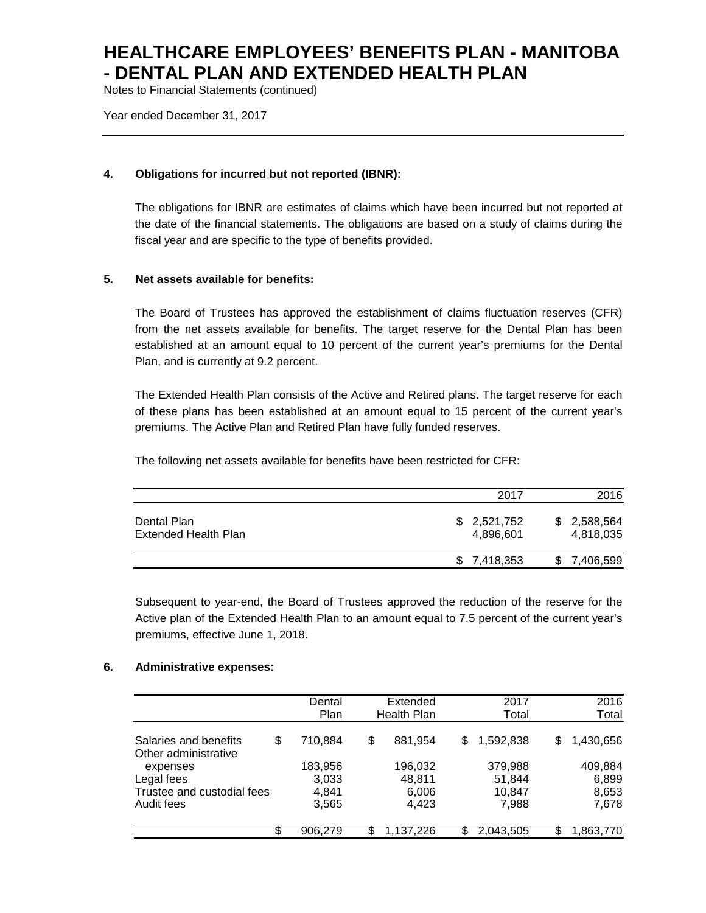Notes to Financial Statements (continued)

Year ended December 31, 2017

### **4. Obligations for incurred but not reported (IBNR):**

The obligations for IBNR are estimates of claims which have been incurred but not reported at the date of the financial statements. The obligations are based on a study of claims during the fiscal year and are specific to the type of benefits provided.

### **5. Net assets available for benefits:**

The Board of Trustees has approved the establishment of claims fluctuation reserves (CFR) from the net assets available for benefits. The target reserve for the Dental Plan has been established at an amount equal to 10 percent of the current year's premiums for the Dental Plan, and is currently at 9.2 percent.

The Extended Health Plan consists of the Active and Retired plans. The target reserve for each of these plans has been established at an amount equal to 15 percent of the current year's premiums. The Active Plan and Retired Plan have fully funded reserves.

The following net assets available for benefits have been restricted for CFR:

|                                            |                          | 2016<br>2017                  |
|--------------------------------------------|--------------------------|-------------------------------|
| Dental Plan<br><b>Extended Health Plan</b> | \$2,521,752<br>4.896.601 | 2,588,564<br>SS.<br>4,818,035 |
|                                            | \$7,418,353              | 7,406,599                     |

Subsequent to year-end, the Board of Trustees approved the reduction of the reserve for the Active plan of the Extended Health Plan to an amount equal to 7.5 percent of the current year's premiums, effective June 1, 2018.

#### **6. Administrative expenses:**

|                                               |     | Dental<br>Plan | Extended<br>Health Plan |    | 2017<br>Total    |    | 2016<br>Total  |
|-----------------------------------------------|-----|----------------|-------------------------|----|------------------|----|----------------|
| Salaries and benefits<br>Other administrative | \$  | 710.884        | \$<br>881,954           | S  | 1,592,838        | S  | 1,430,656      |
| expenses                                      |     | 183,956        | 196,032                 |    | 379,988          |    | 409,884        |
| Legal fees<br>Trustee and custodial fees      |     | 3,033<br>4.841 | 48.811<br>6,006         |    | 51,844<br>10,847 |    | 6,899<br>8,653 |
| Audit fees                                    |     | 3,565          | 4,423                   |    | 7,988            |    | 7,678          |
|                                               | \$. | 906,279        | \$<br>1,137,226         | \$ | 2,043,505        | ß. | 1,863,770      |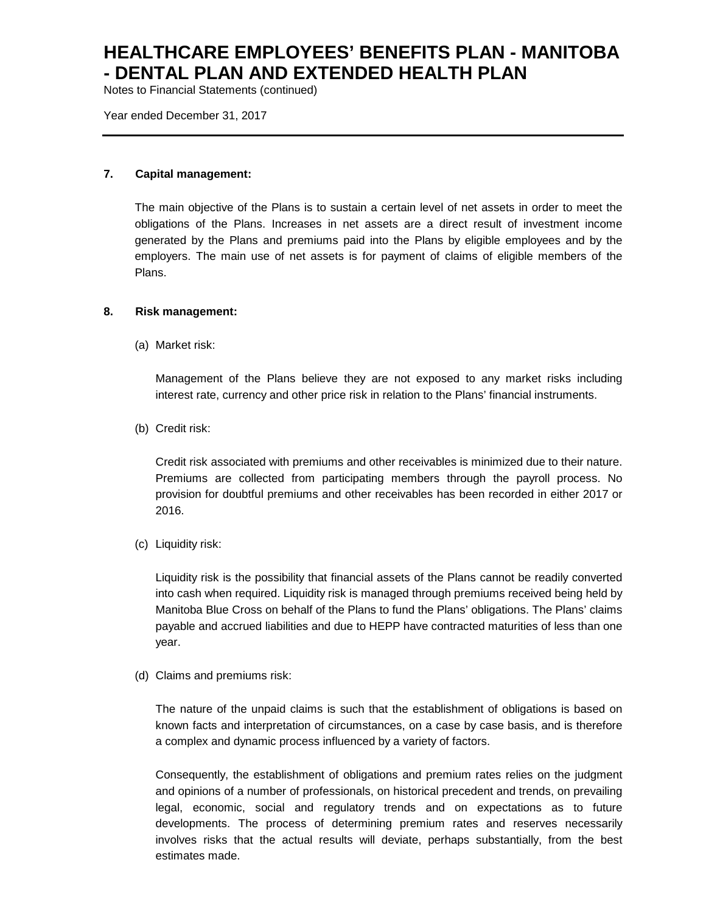Notes to Financial Statements (continued)

Year ended December 31, 2017

#### **7. Capital management:**

The main objective of the Plans is to sustain a certain level of net assets in order to meet the obligations of the Plans. Increases in net assets are a direct result of investment income generated by the Plans and premiums paid into the Plans by eligible employees and by the employers. The main use of net assets is for payment of claims of eligible members of the Plans.

### **8. Risk management:**

(a) Market risk:

Management of the Plans believe they are not exposed to any market risks including interest rate, currency and other price risk in relation to the Plans' financial instruments.

(b) Credit risk:

Credit risk associated with premiums and other receivables is minimized due to their nature. Premiums are collected from participating members through the payroll process. No provision for doubtful premiums and other receivables has been recorded in either 2017 or 2016.

(c) Liquidity risk:

Liquidity risk is the possibility that financial assets of the Plans cannot be readily converted into cash when required. Liquidity risk is managed through premiums received being held by Manitoba Blue Cross on behalf of the Plans to fund the Plans' obligations. The Plans' claims payable and accrued liabilities and due to HEPP have contracted maturities of less than one year.

(d) Claims and premiums risk:

The nature of the unpaid claims is such that the establishment of obligations is based on known facts and interpretation of circumstances, on a case by case basis, and is therefore a complex and dynamic process influenced by a variety of factors.

Consequently, the establishment of obligations and premium rates relies on the judgment and opinions of a number of professionals, on historical precedent and trends, on prevailing legal, economic, social and regulatory trends and on expectations as to future developments. The process of determining premium rates and reserves necessarily involves risks that the actual results will deviate, perhaps substantially, from the best estimates made.